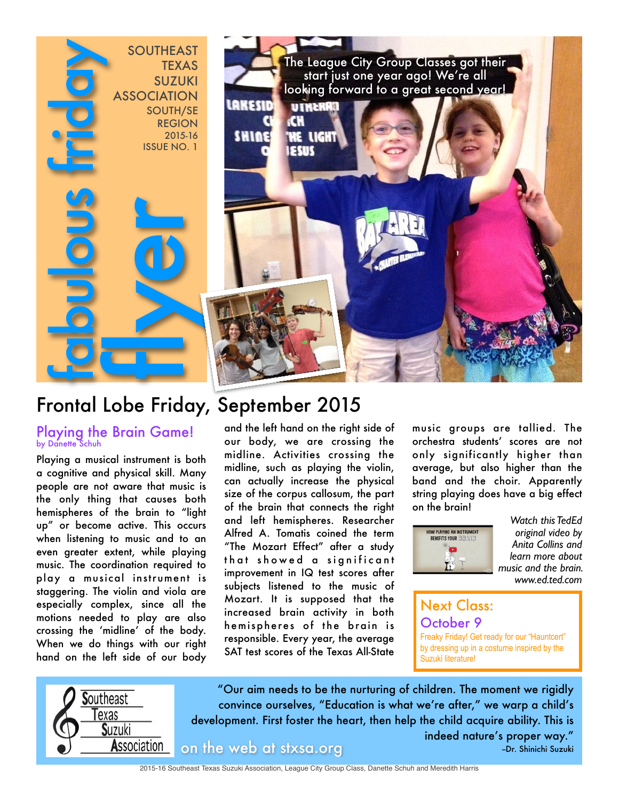

# Frontal Lobe Friday, September 2015

#### Playing the Brain Game! by Danette Schuh

Playing a musical instrument is both a cognitive and physical skill. Many people are not aware that music is the only thing that causes both hemispheres of the brain to "light up" or become active. This occurs when listening to music and to an even greater extent, while playing music. The coordination required to play a musical instrument is staggering. The violin and viola are especially complex, since all the motions needed to play are also crossing the 'midline' of the body. When we do things with our right hand on the left side of our body

and the left hand on the right side of our body, we are crossing the midline. Activities crossing the midline, such as playing the violin, can actually increase the physical size of the corpus callosum, the part of the brain that connects the right and left hemispheres. Researcher Alfred A. Tomatis coined the term "The Mozart Effect" after a study that showed a significant improvement in IQ test scores after subjects listened to the music of Mozart. It is supposed that the increased brain activity in both hemispheres of the brain is responsible. Every year, the average SAT test scores of the Texas All-State

music groups are tallied. The orchestra students' scores are not only significantly higher than average, but also higher than the band and the choir. Apparently string playing does have a big effect on the brain!



*Watch this TedEd original video by Anita Collins and learn more about music and the brain. www.ed.ted.com*

## Next Class: October 9

Freaky Friday! Get ready for our "Hauntcert" by dressing up in a costume inspired by the Suzuki literature!



"Our aim needs to be the nurturing of children. The moment we rigidly convince ourselves, "Education is what we're after," we warp a child's development. First foster the heart, then help the child acquire ability. This is

on the web at stxsa.org --Dr. Shinichi Suzuki

indeed nature's proper way."